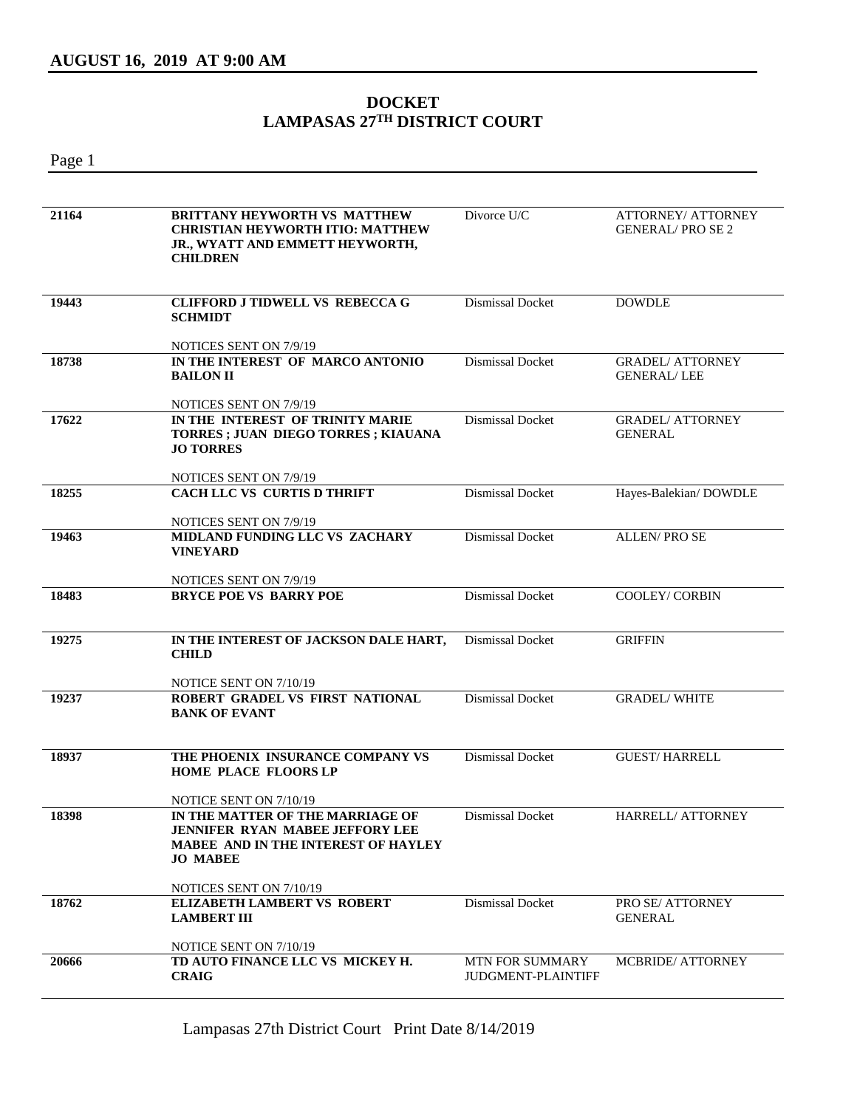## **DOCKET LAMPASAS 27TH DISTRICT COURT**

Page 1

| 21164 | <b>BRITTANY HEYWORTH VS MATTHEW</b><br><b>CHRISTIAN HEYWORTH ITIO: MATTHEW</b><br>JR., WYATT AND EMMETT HEYWORTH,<br><b>CHILDREN</b>                                  | Divorce U/C                                         | <b>ATTORNEY/ ATTORNEY</b><br><b>GENERAL/PROSE2</b> |
|-------|-----------------------------------------------------------------------------------------------------------------------------------------------------------------------|-----------------------------------------------------|----------------------------------------------------|
| 19443 | <b>CLIFFORD J TIDWELL VS REBECCA G</b><br><b>SCHMIDT</b>                                                                                                              | Dismissal Docket                                    | <b>DOWDLE</b>                                      |
|       | NOTICES SENT ON 7/9/19                                                                                                                                                |                                                     |                                                    |
| 18738 | IN THE INTEREST OF MARCO ANTONIO<br><b>BAILON II</b>                                                                                                                  | <b>Dismissal Docket</b>                             | <b>GRADEL/ ATTORNEY</b><br><b>GENERAL/LEE</b>      |
|       | NOTICES SENT ON 7/9/19                                                                                                                                                |                                                     |                                                    |
| 17622 | IN THE INTEREST OF TRINITY MARIE<br>TORRES ; JUAN DIEGO TORRES ; KIAUANA<br><b>JO TORRES</b>                                                                          | <b>Dismissal Docket</b>                             | <b>GRADEL/ ATTORNEY</b><br><b>GENERAL</b>          |
|       | NOTICES SENT ON 7/9/19                                                                                                                                                |                                                     |                                                    |
| 18255 | CACH LLC VS CURTIS D THRIFT                                                                                                                                           | Dismissal Docket                                    | Hayes-Balekian/DOWDLE                              |
|       | NOTICES SENT ON 7/9/19                                                                                                                                                |                                                     |                                                    |
| 19463 | MIDLAND FUNDING LLC VS ZACHARY<br><b>VINEYARD</b>                                                                                                                     | Dismissal Docket                                    | <b>ALLEN/PROSE</b>                                 |
|       | NOTICES SENT ON 7/9/19                                                                                                                                                |                                                     |                                                    |
| 18483 | <b>BRYCE POE VS BARRY POE</b>                                                                                                                                         | Dismissal Docket                                    | <b>COOLEY/ CORBIN</b>                              |
| 19275 | IN THE INTEREST OF JACKSON DALE HART,<br><b>CHILD</b>                                                                                                                 | Dismissal Docket                                    | <b>GRIFFIN</b>                                     |
|       | NOTICE SENT ON 7/10/19                                                                                                                                                |                                                     |                                                    |
| 19237 | ROBERT GRADEL VS FIRST NATIONAL<br><b>BANK OF EVANT</b>                                                                                                               | <b>Dismissal Docket</b>                             | <b>GRADEL/ WHITE</b>                               |
| 18937 | THE PHOENIX INSURANCE COMPANY VS<br><b>HOME PLACE FLOORS LP</b>                                                                                                       | Dismissal Docket                                    | <b>GUEST/HARRELL</b>                               |
| 18398 | NOTICE SENT ON 7/10/19<br>IN THE MATTER OF THE MARRIAGE OF<br><b>JENNIFER RYAN MABEE JEFFORY LEE</b><br><b>MABEE AND IN THE INTEREST OF HAYLEY</b><br><b>JO MABEE</b> | Dismissal Docket                                    | HARRELL/ ATTORNEY                                  |
|       | NOTICES SENT ON 7/10/19                                                                                                                                               |                                                     |                                                    |
| 18762 | <b>ELIZABETH LAMBERT VS ROBERT</b><br><b>LAMBERT III</b>                                                                                                              | Dismissal Docket                                    | PRO SE/ ATTORNEY<br><b>GENERAL</b>                 |
|       | NOTICE SENT ON 7/10/19                                                                                                                                                |                                                     |                                                    |
| 20666 | TD AUTO FINANCE LLC VS MICKEY H.<br><b>CRAIG</b>                                                                                                                      | <b>MTN FOR SUMMARY</b><br><b>JUDGMENT-PLAINTIFF</b> | <b>MCBRIDE/ ATTORNEY</b>                           |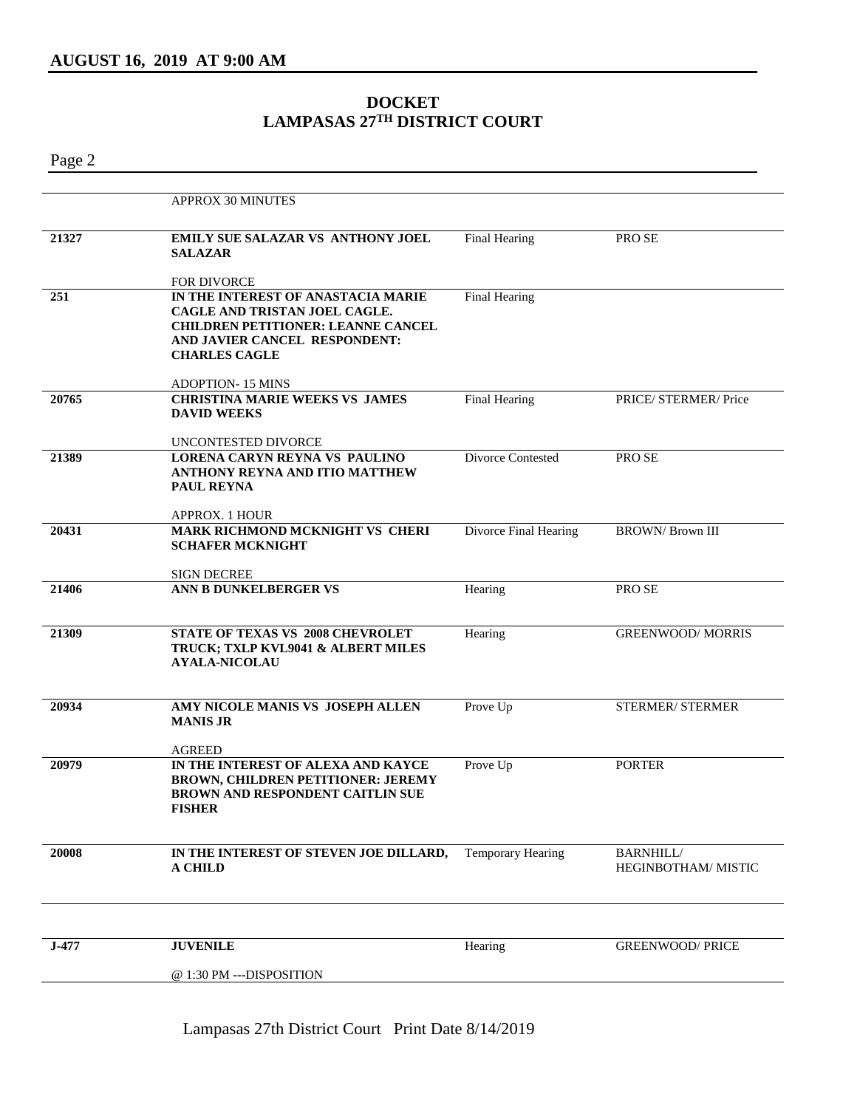## **DOCKET LAMPASAS 27TH DISTRICT COURT**

Page 2

|       | APPROX 30 MINUTES                                                                                                                                                         |                          |                                        |
|-------|---------------------------------------------------------------------------------------------------------------------------------------------------------------------------|--------------------------|----------------------------------------|
| 21327 | EMILY SUE SALAZAR VS ANTHONY JOEL<br><b>SALAZAR</b>                                                                                                                       | <b>Final Hearing</b>     | PRO SE                                 |
|       | <b>FOR DIVORCE</b>                                                                                                                                                        |                          |                                        |
| 251   | IN THE INTEREST OF ANASTACIA MARIE<br>CAGLE AND TRISTAN JOEL CAGLE.<br><b>CHILDREN PETITIONER: LEANNE CANCEL</b><br>AND JAVIER CANCEL RESPONDENT:<br><b>CHARLES CAGLE</b> | <b>Final Hearing</b>     |                                        |
|       | <b>ADOPTION-15 MINS</b>                                                                                                                                                   |                          |                                        |
| 20765 | <b>CHRISTINA MARIE WEEKS VS JAMES</b><br><b>DAVID WEEKS</b>                                                                                                               | Final Hearing            | PRICE/ STERMER/ Price                  |
|       | UNCONTESTED DIVORCE                                                                                                                                                       |                          |                                        |
| 21389 | LORENA CARYN REYNA VS PAULINO<br><b>ANTHONY REYNA AND ITIO MATTHEW</b><br>PAUL REYNA                                                                                      | Divorce Contested        | PRO SE                                 |
| 20431 | APPROX. 1 HOUR                                                                                                                                                            |                          |                                        |
|       | MARK RICHMOND MCKNIGHT VS CHERI<br><b>SCHAFER MCKNIGHT</b>                                                                                                                | Divorce Final Hearing    | <b>BROWN/ Brown III</b>                |
|       | <b>SIGN DECREE</b>                                                                                                                                                        |                          |                                        |
| 21406 | ANN B DUNKELBERGER VS                                                                                                                                                     | Hearing                  | PRO SE                                 |
| 21309 | STATE OF TEXAS VS 2008 CHEVROLET<br>TRUCK; TXLP KVL9041 & ALBERT MILES<br><b>AYALA-NICOLAU</b>                                                                            | Hearing                  | <b>GREENWOOD/MORRIS</b>                |
| 20934 | AMY NICOLE MANIS VS JOSEPH ALLEN<br><b>MANIS JR</b>                                                                                                                       | Prove Up                 | STERMER/ STERMER                       |
|       | <b>AGREED</b>                                                                                                                                                             |                          |                                        |
| 20979 | IN THE INTEREST OF ALEXA AND KAYCE<br><b>BROWN, CHILDREN PETITIONER: JEREMY</b><br><b>BROWN AND RESPONDENT CAITLIN SUE</b><br><b>FISHER</b>                               | Prove Up                 | <b>PORTER</b>                          |
| 20008 | IN THE INTEREST OF STEVEN JOE DILLARD,<br><b>A CHILD</b>                                                                                                                  | <b>Temporary Hearing</b> | <b>BARNHILL/</b><br>HEGINBOTHAM/MISTIC |
|       |                                                                                                                                                                           |                          |                                        |
| J-477 | <b>JUVENILE</b>                                                                                                                                                           | Hearing                  | <b>GREENWOOD/ PRICE</b>                |
|       | @ 1:30 PM ---DISPOSITION                                                                                                                                                  |                          |                                        |

Lampasas 27th District Court Print Date 8/14/2019